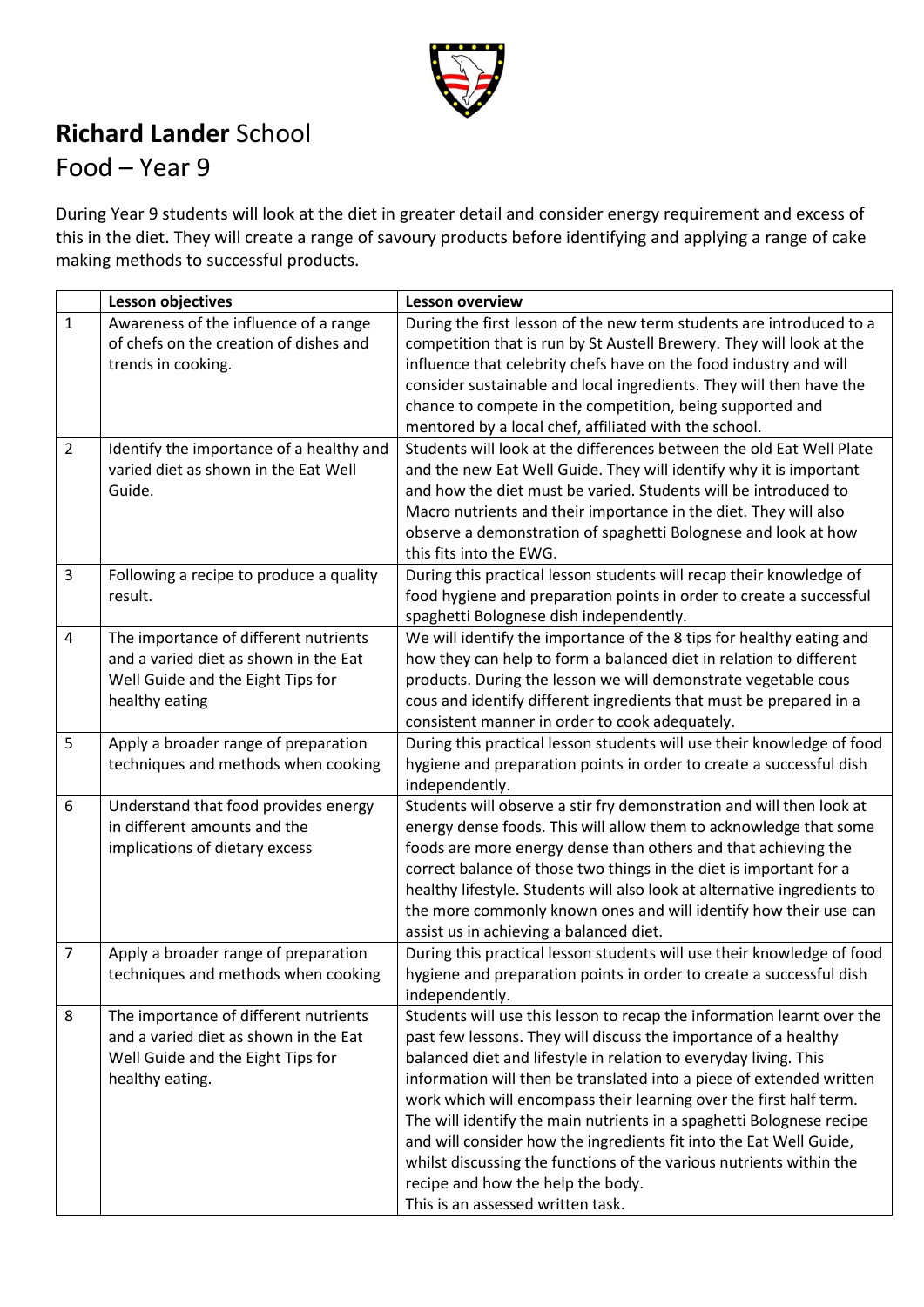

## **Richard Lander** School

## Food – Year 9

During Year 9 students will look at the diet in greater detail and consider energy requirement and excess of this in the diet. They will create a range of savoury products before identifying and applying a range of cake making methods to successful products.

|                | Lesson objectives                        | <b>Lesson overview</b>                                                   |
|----------------|------------------------------------------|--------------------------------------------------------------------------|
| $\mathbf{1}$   | Awareness of the influence of a range    | During the first lesson of the new term students are introduced to a     |
|                | of chefs on the creation of dishes and   | competition that is run by St Austell Brewery. They will look at the     |
|                | trends in cooking.                       | influence that celebrity chefs have on the food industry and will        |
|                |                                          | consider sustainable and local ingredients. They will then have the      |
|                |                                          | chance to compete in the competition, being supported and                |
|                |                                          | mentored by a local chef, affiliated with the school.                    |
| $\overline{2}$ | Identify the importance of a healthy and | Students will look at the differences between the old Eat Well Plate     |
|                | varied diet as shown in the Eat Well     | and the new Eat Well Guide. They will identify why it is important       |
|                | Guide.                                   | and how the diet must be varied. Students will be introduced to          |
|                |                                          | Macro nutrients and their importance in the diet. They will also         |
|                |                                          | observe a demonstration of spaghetti Bolognese and look at how           |
|                |                                          | this fits into the EWG.                                                  |
| $\overline{3}$ | Following a recipe to produce a quality  | During this practical lesson students will recap their knowledge of      |
|                | result.                                  | food hygiene and preparation points in order to create a successful      |
|                |                                          | spaghetti Bolognese dish independently.                                  |
| $\overline{4}$ | The importance of different nutrients    | We will identify the importance of the 8 tips for healthy eating and     |
|                | and a varied diet as shown in the Eat    | how they can help to form a balanced diet in relation to different       |
|                | Well Guide and the Eight Tips for        | products. During the lesson we will demonstrate vegetable cous           |
|                | healthy eating                           | cous and identify different ingredients that must be prepared in a       |
|                |                                          | consistent manner in order to cook adequately.                           |
| 5              | Apply a broader range of preparation     | During this practical lesson students will use their knowledge of food   |
|                | techniques and methods when cooking      | hygiene and preparation points in order to create a successful dish      |
|                |                                          | independently.                                                           |
| 6              | Understand that food provides energy     | Students will observe a stir fry demonstration and will then look at     |
|                | in different amounts and the             | energy dense foods. This will allow them to acknowledge that some        |
|                | implications of dietary excess           | foods are more energy dense than others and that achieving the           |
|                |                                          | correct balance of those two things in the diet is important for a       |
|                |                                          | healthy lifestyle. Students will also look at alternative ingredients to |
|                |                                          | the more commonly known ones and will identify how their use can         |
|                |                                          | assist us in achieving a balanced diet.                                  |
| $\overline{7}$ | Apply a broader range of preparation     | During this practical lesson students will use their knowledge of food   |
|                | techniques and methods when cooking      | hygiene and preparation points in order to create a successful dish      |
|                |                                          | independently.                                                           |
| 8              | The importance of different nutrients    | Students will use this lesson to recap the information learnt over the   |
|                | and a varied diet as shown in the Eat    | past few lessons. They will discuss the importance of a healthy          |
|                | Well Guide and the Eight Tips for        | balanced diet and lifestyle in relation to everyday living. This         |
|                | healthy eating.                          | information will then be translated into a piece of extended written     |
|                |                                          | work which will encompass their learning over the first half term.       |
|                |                                          | The will identify the main nutrients in a spaghetti Bolognese recipe     |
|                |                                          | and will consider how the ingredients fit into the Eat Well Guide,       |
|                |                                          | whilst discussing the functions of the various nutrients within the      |
|                |                                          | recipe and how the help the body.                                        |
|                |                                          | This is an assessed written task.                                        |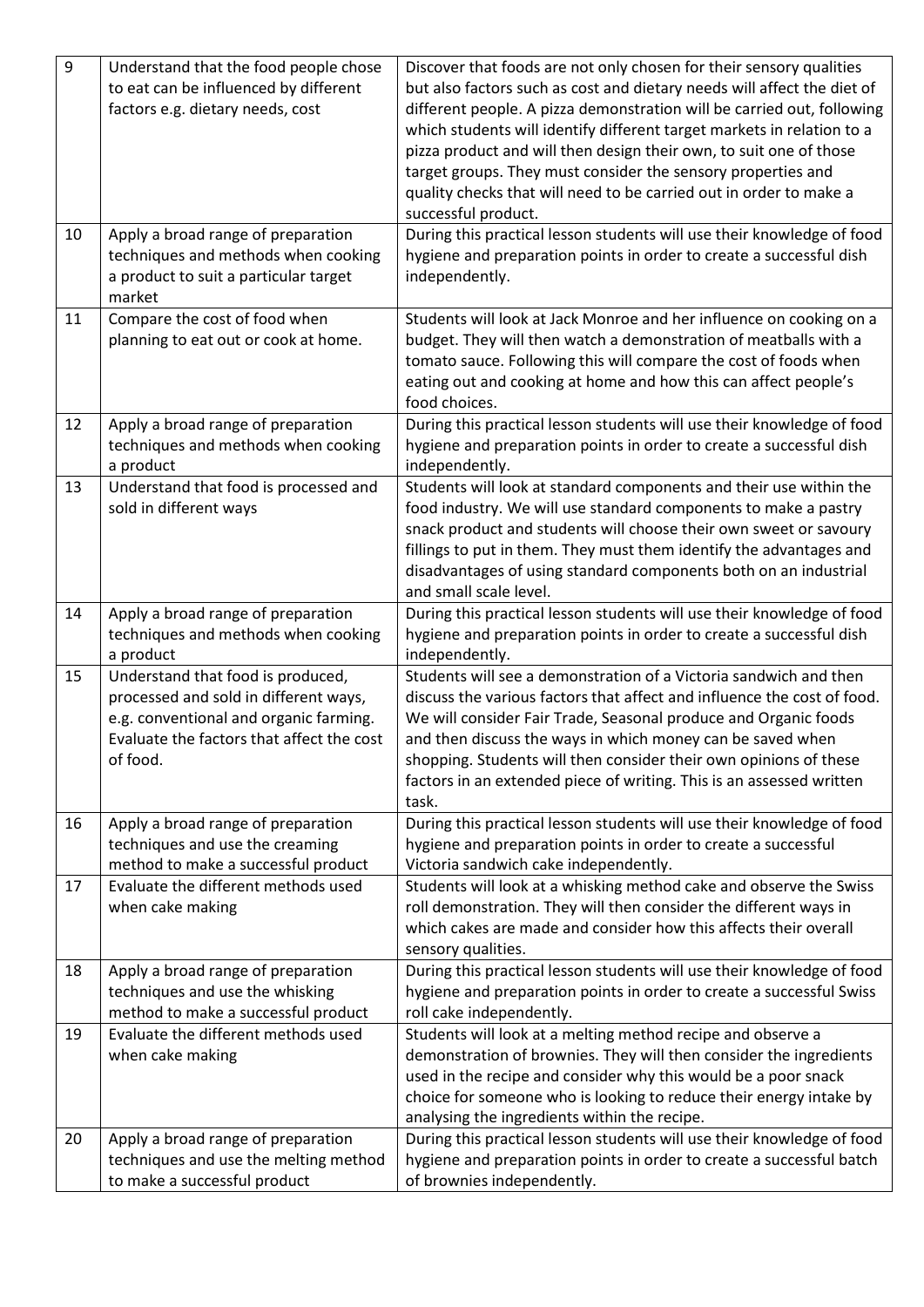| 9  | Understand that the food people chose     | Discover that foods are not only chosen for their sensory qualities     |
|----|-------------------------------------------|-------------------------------------------------------------------------|
|    | to eat can be influenced by different     | but also factors such as cost and dietary needs will affect the diet of |
|    | factors e.g. dietary needs, cost          | different people. A pizza demonstration will be carried out, following  |
|    |                                           | which students will identify different target markets in relation to a  |
|    |                                           | pizza product and will then design their own, to suit one of those      |
|    |                                           | target groups. They must consider the sensory properties and            |
|    |                                           | quality checks that will need to be carried out in order to make a      |
|    |                                           | successful product.                                                     |
| 10 | Apply a broad range of preparation        | During this practical lesson students will use their knowledge of food  |
|    | techniques and methods when cooking       | hygiene and preparation points in order to create a successful dish     |
|    | a product to suit a particular target     | independently.                                                          |
|    | market                                    |                                                                         |
| 11 | Compare the cost of food when             | Students will look at Jack Monroe and her influence on cooking on a     |
|    | planning to eat out or cook at home.      | budget. They will then watch a demonstration of meatballs with a        |
|    |                                           | tomato sauce. Following this will compare the cost of foods when        |
|    |                                           | eating out and cooking at home and how this can affect people's         |
|    |                                           | food choices.                                                           |
| 12 | Apply a broad range of preparation        | During this practical lesson students will use their knowledge of food  |
|    | techniques and methods when cooking       | hygiene and preparation points in order to create a successful dish     |
|    | a product                                 | independently.                                                          |
| 13 | Understand that food is processed and     | Students will look at standard components and their use within the      |
|    | sold in different ways                    | food industry. We will use standard components to make a pastry         |
|    |                                           | snack product and students will choose their own sweet or savoury       |
|    |                                           | fillings to put in them. They must them identify the advantages and     |
|    |                                           | disadvantages of using standard components both on an industrial        |
|    |                                           | and small scale level.                                                  |
| 14 | Apply a broad range of preparation        | During this practical lesson students will use their knowledge of food  |
|    | techniques and methods when cooking       | hygiene and preparation points in order to create a successful dish     |
|    | a product                                 | independently.                                                          |
| 15 | Understand that food is produced,         | Students will see a demonstration of a Victoria sandwich and then       |
|    | processed and sold in different ways,     | discuss the various factors that affect and influence the cost of food. |
|    | e.g. conventional and organic farming.    | We will consider Fair Trade, Seasonal produce and Organic foods         |
|    | Evaluate the factors that affect the cost | and then discuss the ways in which money can be saved when              |
|    | of food.                                  | shopping. Students will then consider their own opinions of these       |
|    |                                           | factors in an extended piece of writing. This is an assessed written    |
|    |                                           | task.                                                                   |
| 16 | Apply a broad range of preparation        | During this practical lesson students will use their knowledge of food  |
|    | techniques and use the creaming           | hygiene and preparation points in order to create a successful          |
|    | method to make a successful product       | Victoria sandwich cake independently.                                   |
| 17 | Evaluate the different methods used       | Students will look at a whisking method cake and observe the Swiss      |
|    | when cake making                          | roll demonstration. They will then consider the different ways in       |
|    |                                           | which cakes are made and consider how this affects their overall        |
|    |                                           | sensory qualities.                                                      |
| 18 | Apply a broad range of preparation        | During this practical lesson students will use their knowledge of food  |
|    | techniques and use the whisking           | hygiene and preparation points in order to create a successful Swiss    |
|    | method to make a successful product       | roll cake independently.                                                |
| 19 | Evaluate the different methods used       | Students will look at a melting method recipe and observe a             |
|    | when cake making                          | demonstration of brownies. They will then consider the ingredients      |
|    |                                           | used in the recipe and consider why this would be a poor snack          |
|    |                                           | choice for someone who is looking to reduce their energy intake by      |
|    |                                           | analysing the ingredients within the recipe.                            |
| 20 | Apply a broad range of preparation        | During this practical lesson students will use their knowledge of food  |
|    | techniques and use the melting method     | hygiene and preparation points in order to create a successful batch    |
|    | to make a successful product              | of brownies independently.                                              |